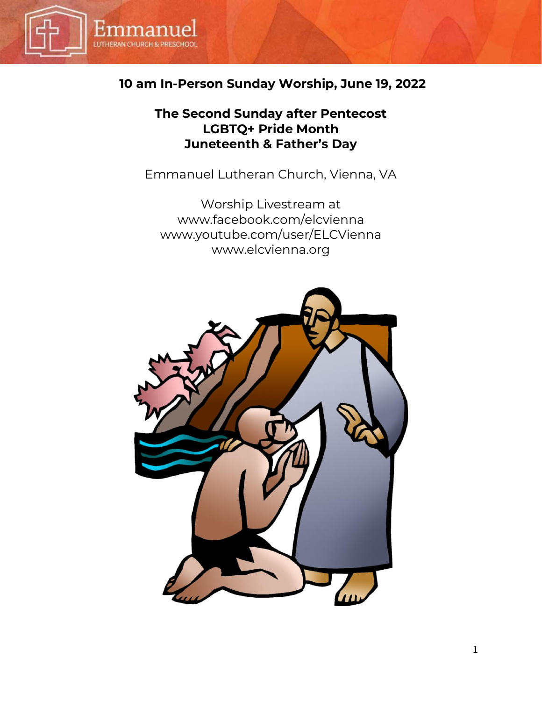

# **10 am In-Person Sunday Worship, June 19, 2022**

## **The Second Sunday after Pentecost LGBTQ+ Pride Month Juneteenth & Father's Day**

Emmanuel Lutheran Church, Vienna, VA

Worship Livestream at [www.facebook.com/elcvienna](http://www.facebook.com/elcvienna)  [www.youtube.com/user/ELCVienna](https://www.youtube.com/user/ELCVienna)  www.elcvienna.org

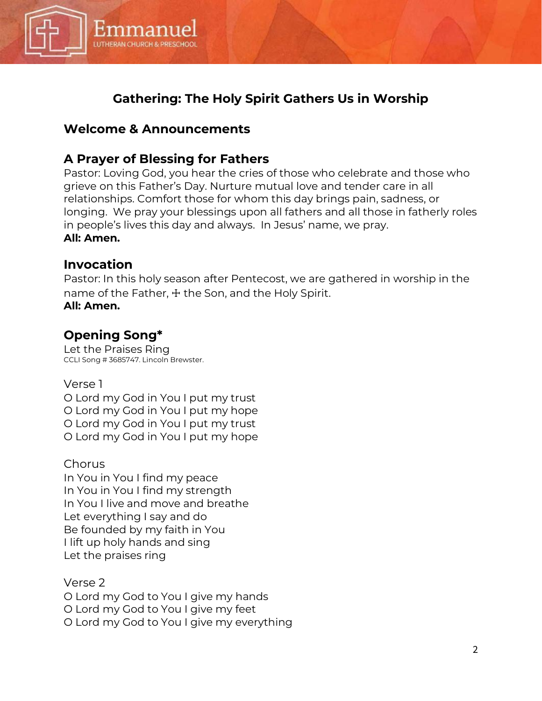

# **Gathering: The Holy Spirit Gathers Us in Worship**

### **Welcome & Announcements**

## **A Prayer of Blessing for Fathers**

Pastor: Loving God, you hear the cries of those who celebrate and those who grieve on this Father's Day. Nurture mutual love and tender care in all relationships. Comfort those for whom this day brings pain, sadness, or longing. We pray your blessings upon all fathers and all those in fatherly roles in people's lives this day and always. In Jesus' name, we pray. **All: Amen.** 

### **Invocation**

Pastor: In this holy season after Pentecost, we are gathered in worship in the name of the Father,  $\pm$  the Son, and the Holy Spirit. **All: Amen.**

# **Opening Song\***

Let the Praises Ring CCLI Song # 3685747. Lincoln Brewster.

Verse 1 O Lord my God in You I put my trust O Lord my God in You I put my hope

O Lord my God in You I put my trust O Lord my God in You I put my hope

### Chorus

In You in You I find my peace In You in You I find my strength In You I live and move and breathe Let everything I say and do Be founded by my faith in You I lift up holy hands and sing Let the praises ring

Verse 2 O Lord my God to You I give my hands O Lord my God to You I give my feet O Lord my God to You I give my everything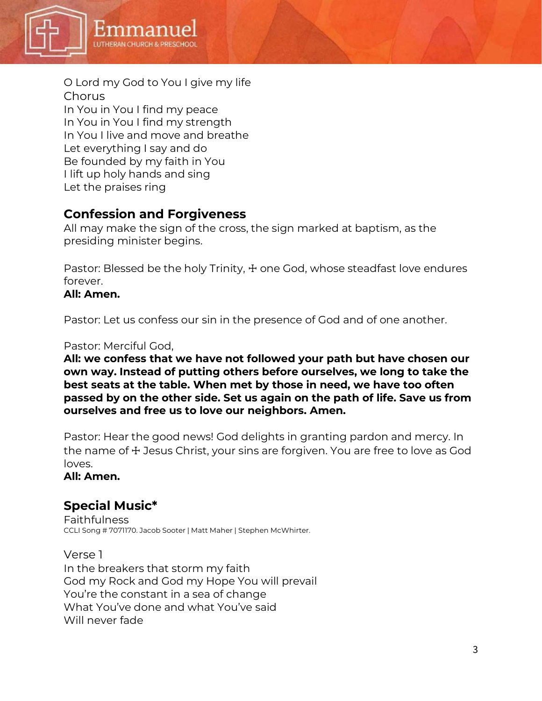

O Lord my God to You I give my life Chorus In You in You I find my peace In You in You I find my strength In You I live and move and breathe Let everything I say and do Be founded by my faith in You I lift up holy hands and sing Let the praises ring

# **Confession and Forgiveness**

All may make the sign of the cross, the sign marked at baptism, as the presiding minister begins.

Pastor: Blessed be the holy Trinity,  $+$  one God, whose steadfast love endures forever.

#### **All: Amen.**

Pastor: Let us confess our sin in the presence of God and of one another.

#### Pastor: Merciful God,

**All: we confess that we have not followed your path but have chosen our own way. Instead of putting others before ourselves, we long to take the best seats at the table. When met by those in need, we have too often passed by on the other side. Set us again on the path of life. Save us from ourselves and free us to love our neighbors. Amen.** 

Pastor: Hear the good news! God delights in granting pardon and mercy. In the name of  $\pm$  Jesus Christ, your sins are forgiven. You are free to love as God loves.

**All: Amen.** 

# **Special Music\***

Faithfulness CCLI Song # 7071170. Jacob Sooter | Matt Maher | Stephen McWhirter.

Verse 1 In the breakers that storm my faith God my Rock and God my Hope You will prevail You're the constant in a sea of change What You've done and what You've said Will never fade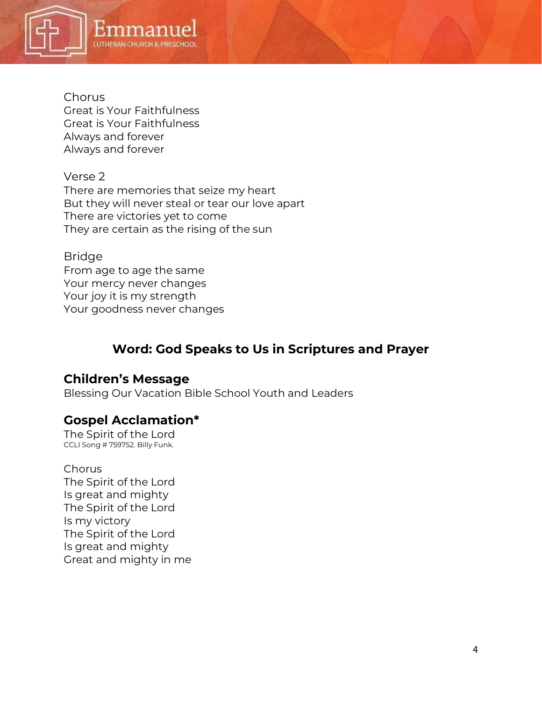

Chorus Great is Your Faithfulness Great is Your Faithfulness Always and forever Always and forever

Verse 2 There are memories that seize my heart But they will never steal or tear our love apart There are victories yet to come They are certain as the rising of the sun

Bridge From age to age the same Your mercy never changes Your joy it is my strength Your goodness never changes

## **Word: God Speaks to Us in Scriptures and Prayer**

### **Children's Message**

Blessing Our Vacation Bible School Youth and Leaders

## **Gospel Acclamation\***

The Spirit of the Lord CCLI Song # 759752. Billy Funk.

Chorus The Spirit of the Lord Is great and mighty The Spirit of the Lord Is my victory The Spirit of the Lord Is great and mighty Great and mighty in me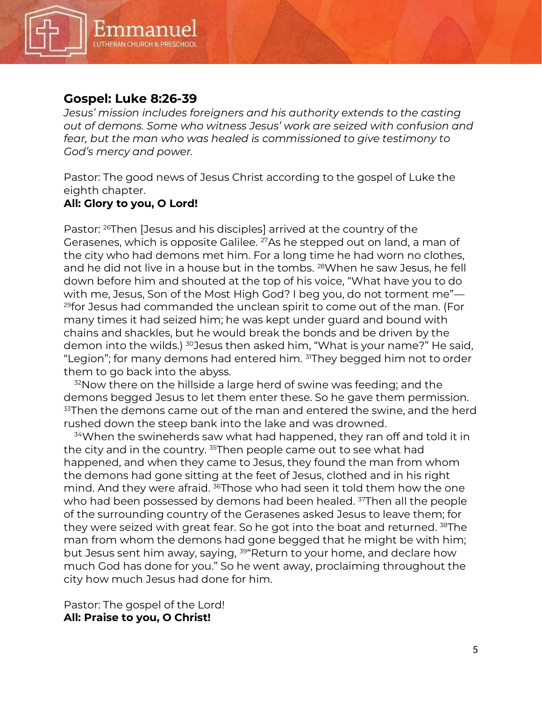

## **Gospel: Luke 8:26-39**

*Jesus' mission includes foreigners and his authority extends to the casting out of demons. Some who witness Jesus' work are seized with confusion and fear, but the man who was healed is commissioned to give testimony to God's mercy and power.*

Pastor: The good news of Jesus Christ according to the gospel of Luke the eighth chapter.

### **All: Glory to you, O Lord!**

Pastor: 26Then [Jesus and his disciples] arrived at the country of the Gerasenes, which is opposite Galilee. <sup>27</sup>As he stepped out on land, a man of the city who had demons met him. For a long time he had worn no clothes, and he did not live in a house but in the tombs. <sup>28</sup>When he saw Jesus, he fell down before him and shouted at the top of his voice, "What have you to do with me, Jesus, Son of the Most High God? I beg you, do not torment me"— <sup>29</sup>for Jesus had commanded the unclean spirit to come out of the man. (For many times it had seized him; he was kept under guard and bound with chains and shackles, but he would break the bonds and be driven by the demon into the wilds.) <sup>30</sup> Jesus then asked him, "What is your name?" He said, "Legion"; for many demons had entered him. <sup>31</sup>They begged him not to order them to go back into the abyss.

<sup>32</sup>Now there on the hillside a large herd of swine was feeding; and the demons begged Jesus to let them enter these. So he gave them permission. <sup>33</sup>Then the demons came out of the man and entered the swine, and the herd rushed down the steep bank into the lake and was drowned.

<sup>34</sup>When the swineherds saw what had happened, they ran off and told it in the city and in the country.<sup>35</sup>Then people came out to see what had happened, and when they came to Jesus, they found the man from whom the demons had gone sitting at the feet of Jesus, clothed and in his right mind. And they were afraid. <sup>36</sup>Those who had seen it told them how the one who had been possessed by demons had been healed. <sup>37</sup>Then all the people of the surrounding country of the Gerasenes asked Jesus to leave them; for they were seized with great fear. So he got into the boat and returned. <sup>38</sup>The man from whom the demons had gone begged that he might be with him; but Jesus sent him away, saying, <sup>39</sup> Return to your home, and declare how much God has done for you." So he went away, proclaiming throughout the city how much Jesus had done for him.

Pastor: The gospel of the Lord! **All: Praise to you, O Christ!**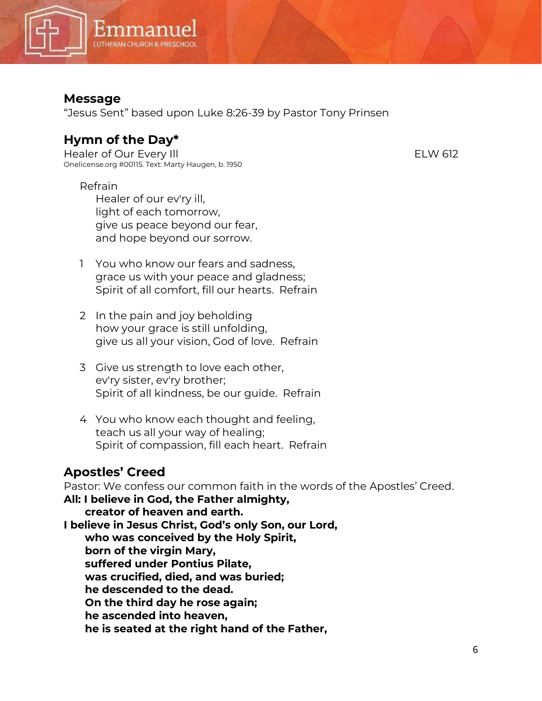

## **Message**

"Jesus Sent" based upon Luke 8:26-39 by Pastor Tony Prinsen

## **Hymn of the Day\***

Healer of Our Every III and the state of the state of the state of the state of the state of the state of the state of the state of the state of the state of the state of the state of the state of the state of the state of Onelicense.org #00115. Text: Marty Haugen, b. 1950

Refrain Healer of our ev'ry ill, light of each tomorrow, give us peace beyond our fear, and hope beyond our sorrow.

- 1 You who know our fears and sadness, grace us with your peace and gladness; Spirit of all comfort, fill our hearts. Refrain
- 2 In the pain and joy beholding how your grace is still unfolding, give us all your vision, God of love. Refrain
- 3 Give us strength to love each other, ev'ry sister, ev'ry brother; Spirit of all kindness, be our guide. Refrain
- 4 You who know each thought and feeling, teach us all your way of healing; Spirit of compassion, fill each heart. Refrain

# **Apostles' Creed**

Pastor: We confess our common faith in the words of the Apostles' Creed.

**All: I believe in God, the Father almighty, creator of heaven and earth. I believe in Jesus Christ, God's only Son, our Lord, who was conceived by the Holy Spirit, born of the virgin Mary, suffered under Pontius Pilate, was crucified, died, and was buried; he descended to the dead. On the third day he rose again; he ascended into heaven, he is seated at the right hand of the Father,**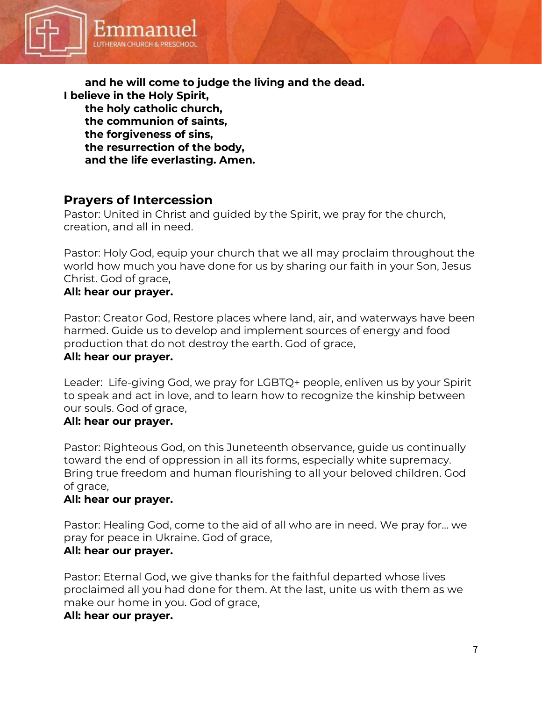

**and he will come to judge the living and the dead. I believe in the Holy Spirit, the holy catholic church, the communion of saints, the forgiveness of sins, the resurrection of the body, and the life everlasting. Amen.**

### **Prayers of Intercession**

Pastor: United in Christ and guided by the Spirit, we pray for the church, creation, and all in need.

Pastor: Holy God, equip your church that we all may proclaim throughout the world how much you have done for us by sharing our faith in your Son, Jesus Christ. God of grace,

#### **All: hear our prayer.**

Pastor: Creator God, Restore places where land, air, and waterways have been harmed. Guide us to develop and implement sources of energy and food production that do not destroy the earth. God of grace,

#### **All: hear our prayer.**

Leader: Life-giving God, we pray for LGBTQ+ people, enliven us by your Spirit to speak and act in love, and to learn how to recognize the kinship between our souls. God of grace,

#### **All: hear our prayer.**

Pastor: Righteous God, on this Juneteenth observance, guide us continually toward the end of oppression in all its forms, especially white supremacy. Bring true freedom and human flourishing to all your beloved children. God of grace,

#### **All: hear our prayer.**

Pastor: Healing God, come to the aid of all who are in need. We pray for… we pray for peace in Ukraine. God of grace,

#### **All: hear our prayer.**

Pastor: Eternal God, we give thanks for the faithful departed whose lives proclaimed all you had done for them. At the last, unite us with them as we make our home in you. God of grace,

#### **All: hear our prayer.**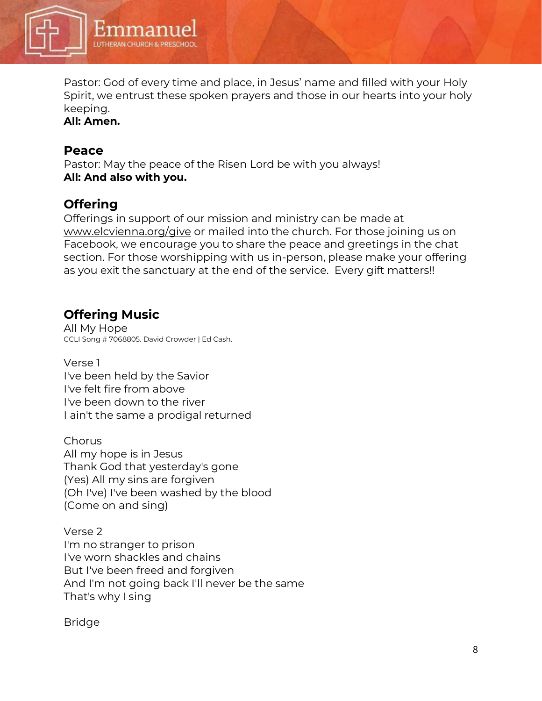

Pastor: God of every time and place, in Jesus' name and filled with your Holy Spirit, we entrust these spoken prayers and those in our hearts into your holy keeping.

**All: Amen.** 

### **Peace**

Pastor: May the peace of the Risen Lord be with you always! **All: And also with you.** 

## **Offering**

Offerings in support of our mission and ministry can be made at [www.elcvienna.org/give](http://www.elcvienna.org/give) or mailed into the church. For those joining us on Facebook, we encourage you to share the peace and greetings in the chat section. For those worshipping with us in-person, please make your offering as you exit the sanctuary at the end of the service. Every gift matters!!

## **Offering Music**

All My Hope CCLI Song # 7068805. David Crowder | Ed Cash.

Verse 1 I've been held by the Savior I've felt fire from above I've been down to the river I ain't the same a prodigal returned

Chorus All my hope is in Jesus Thank God that yesterday's gone (Yes) All my sins are forgiven (Oh I've) I've been washed by the blood (Come on and sing)

Verse 2 I'm no stranger to prison I've worn shackles and chains But I've been freed and forgiven And I'm not going back I'll never be the same That's why I sing

Bridge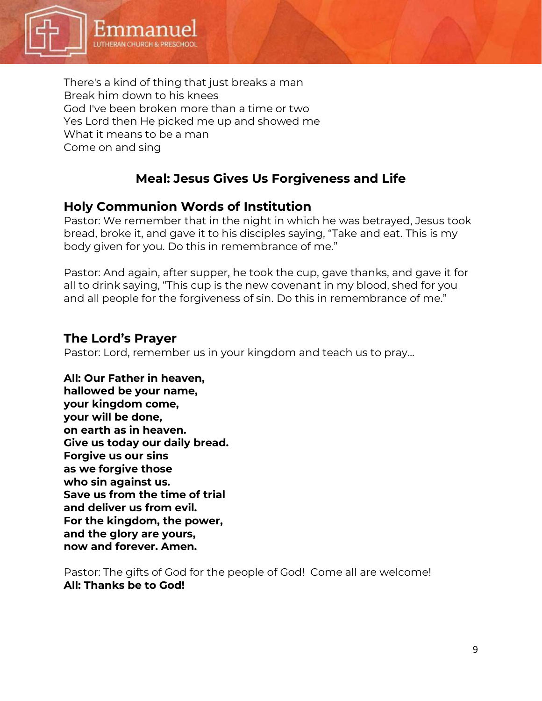

There's a kind of thing that just breaks a man Break him down to his knees God I've been broken more than a time or two Yes Lord then He picked me up and showed me What it means to be a man Come on and sing

## **Meal: Jesus Gives Us Forgiveness and Life**

### **Holy Communion Words of Institution**

Pastor: We remember that in the night in which he was betrayed, Jesus took bread, broke it, and gave it to his disciples saying, "Take and eat. This is my body given for you. Do this in remembrance of me."

Pastor: And again, after supper, he took the cup, gave thanks, and gave it for all to drink saying, "This cup is the new covenant in my blood, shed for you and all people for the forgiveness of sin. Do this in remembrance of me."

### **The Lord's Prayer**

Pastor: Lord, remember us in your kingdom and teach us to pray…

#### **All: Our Father in heaven,**

**hallowed be your name, your kingdom come, your will be done, on earth as in heaven. Give us today our daily bread. Forgive us our sins as we forgive those who sin against us. Save us from the time of trial and deliver us from evil. For the kingdom, the power, and the glory are yours, now and forever. Amen.**

Pastor: The gifts of God for the people of God! Come all are welcome! **All: Thanks be to God!**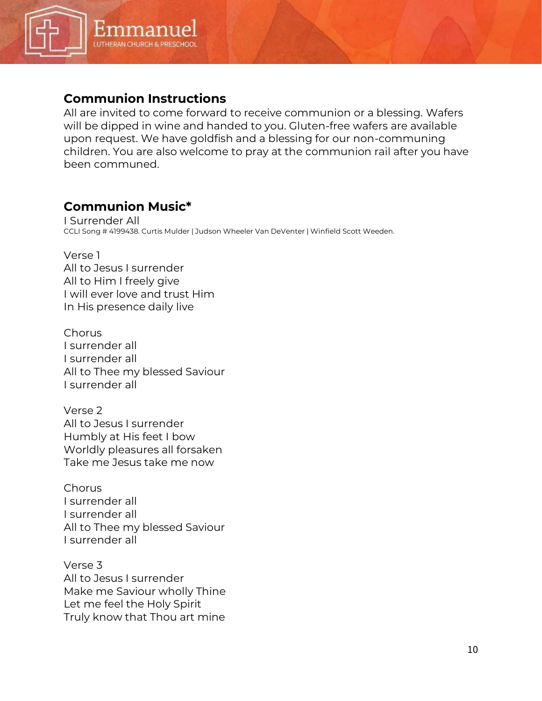

## **Communion Instructions**

All are invited to come forward to receive communion or a blessing. Wafers will be dipped in wine and handed to you. Gluten-free wafers are available upon request. We have goldfish and a blessing for our non-communing children. You are also welcome to pray at the communion rail after you have been communed.

# **Communion Music\***

I Surrender All CCLI Song # 4199438. Curtis Mulder | Judson Wheeler Van DeVenter | Winfield Scott Weeden.

Verse 1 All to Jesus I surrender All to Him I freely give I will ever love and trust Him In His presence daily live

Chorus I surrender all I surrender all All to Thee my blessed Saviour I surrender all

Verse 2 All to Jesus I surrender Humbly at His feet I bow Worldly pleasures all forsaken Take me Jesus take me now

Chorus I surrender all I surrender all All to Thee my blessed Saviour I surrender all

Verse 3 All to Jesus I surrender Make me Saviour wholly Thine Let me feel the Holy Spirit Truly know that Thou art mine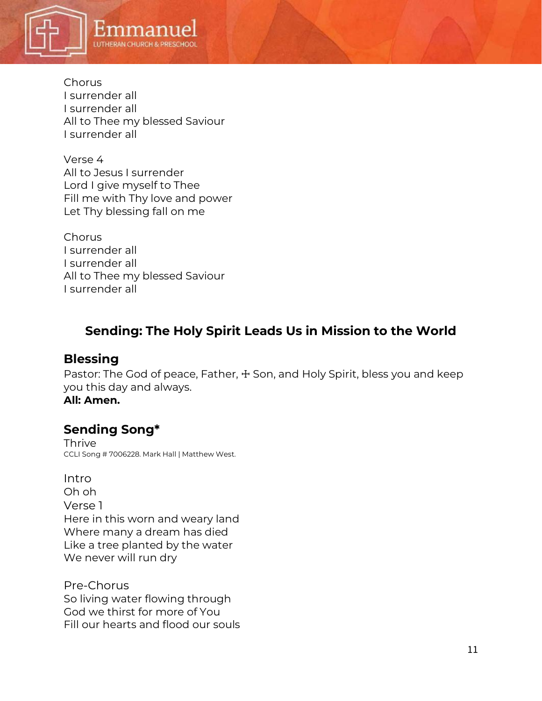

Chorus I surrender all I surrender all All to Thee my blessed Saviour I surrender all

Verse 4 All to Jesus I surrender Lord I give myself to Thee Fill me with Thy love and power Let Thy blessing fall on me

Chorus I surrender all I surrender all All to Thee my blessed Saviour I surrender all

# **Sending: The Holy Spirit Leads Us in Mission to the World**

### **Blessing**

Pastor: The God of peace, Father,  $\pm$  Son, and Holy Spirit, bless you and keep you this day and always.

**All: Amen.**

## **Sending Song\***

Thrive CCLI Song # 7006228. Mark Hall | Matthew West.

Intro Oh oh Verse 1 Here in this worn and weary land Where many a dream has died Like a tree planted by the water We never will run dry

Pre-Chorus So living water flowing through God we thirst for more of You Fill our hearts and flood our souls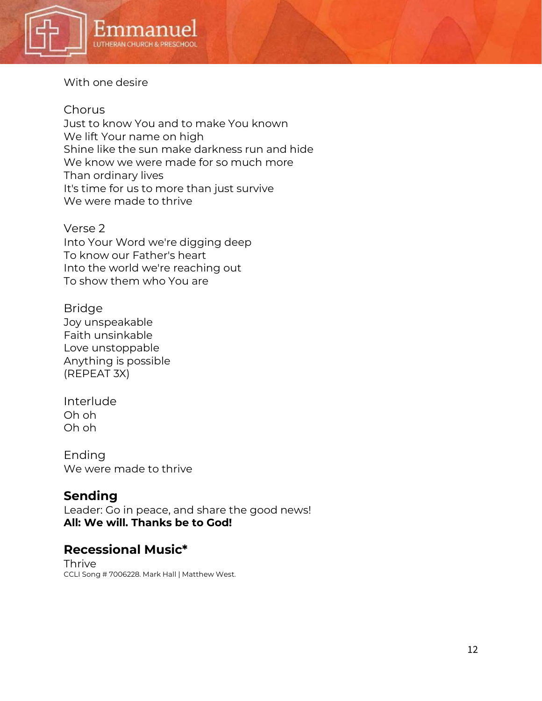

#### With one desire

#### Chorus

Just to know You and to make You known We lift Your name on high Shine like the sun make darkness run and hide We know we were made for so much more Than ordinary lives It's time for us to more than just survive We were made to thrive

## Verse 2

Into Your Word we're digging deep To know our Father's heart Into the world we're reaching out To show them who You are

# Bridge

Joy unspeakable Faith unsinkable Love unstoppable Anything is possible (REPEAT 3X)

Interlude Oh oh Oh oh

Ending We were made to thrive

### **Sending**

Leader: Go in peace, and share the good news! **All: We will. Thanks be to God!** 

## **Recessional Music\***

**Thrive** CCLI Song # 7006228. Mark Hall | Matthew West.